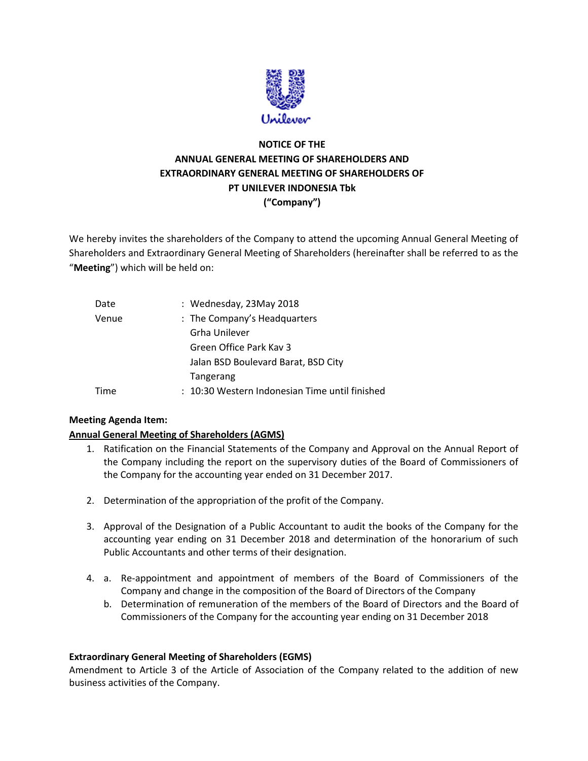

# **NOTICE OF THE ANNUAL GENERAL MEETING OF SHAREHOLDERS AND EXTRAORDINARY GENERAL MEETING OF SHAREHOLDERS OF PT UNILEVER INDONESIA Tbk ("Company")**

We hereby invites the shareholders of the Company to attend the upcoming Annual General Meeting of Shareholders and Extraordinary General Meeting of Shareholders (hereinafter shall be referred to as the "**Meeting**") which will be held on:

| Date  | : Wednesday, 23May 2018                        |
|-------|------------------------------------------------|
| Venue | : The Company's Headquarters                   |
|       | Grha Unilever                                  |
|       | Green Office Park Kay 3                        |
|       | Jalan BSD Boulevard Barat, BSD City            |
|       | Tangerang                                      |
| Time  | : 10:30 Western Indonesian Time until finished |

# **Meeting Agenda Item:**

# **Annual General Meeting of Shareholders (AGMS)**

- 1. Ratification on the Financial Statements of the Company and Approval on the Annual Report of the Company including the report on the supervisory duties of the Board of Commissioners of the Company for the accounting year ended on 31 December 2017.
- 2. Determination of the appropriation of the profit of the Company.
- 3. Approval of the Designation of a Public Accountant to audit the books of the Company for the accounting year ending on 31 December 2018 and determination of the honorarium of such Public Accountants and other terms of their designation.
- 4. a. Re-appointment and appointment of members of the Board of Commissioners of the Company and change in the composition of the Board of Directors of the Company
	- b. Determination of remuneration of the members of the Board of Directors and the Board of Commissioners of the Company for the accounting year ending on 31 December 2018

#### **Extraordinary General Meeting of Shareholders (EGMS)**

Amendment to Article 3 of the Article of Association of the Company related to the addition of new business activities of the Company.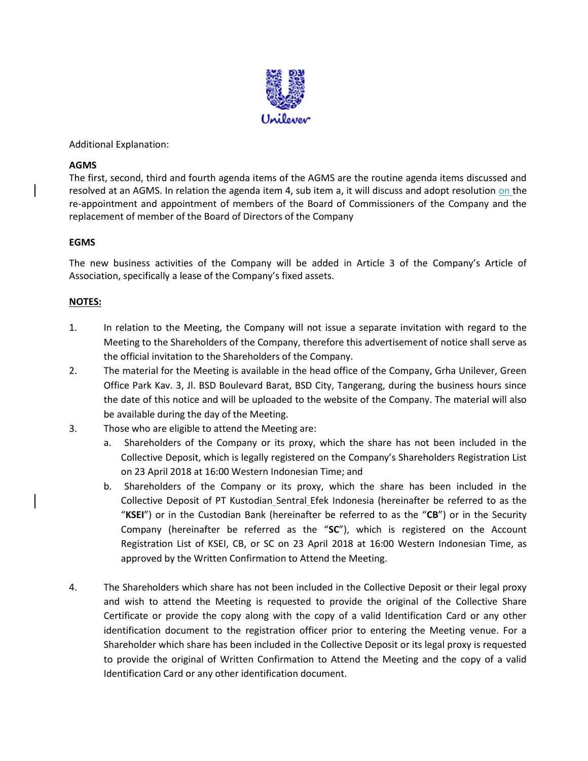

Additional Explanation:

### **AGMS**

The first, second, third and fourth agenda items of the AGMS are the routine agenda items discussed and resolved at an AGMS. In relation the agenda item 4, sub item a, it will discuss and adopt resolution on the re-appointment and appointment of members of the Board of Commissioners of the Company and the replacement of member of the Board of Directors of the Company

### **EGMS**

The new business activities of the Company will be added in Article 3 of the Company's Article of Association, specifically a lease of the Company's fixed assets.

# **NOTES:**

- 1. In relation to the Meeting, the Company will not issue a separate invitation with regard to the Meeting to the Shareholders of the Company, therefore this advertisement of notice shall serve as the official invitation to the Shareholders of the Company.
- 2. The material for the Meeting is available in the head office of the Company, Grha Unilever, Green Office Park Kav. 3, Jl. BSD Boulevard Barat, BSD City, Tangerang, during the business hours since the date of this notice and will be uploaded to the website of the Company. The material will also be available during the day of the Meeting.
- 3. Those who are eligible to attend the Meeting are:
	- a. Shareholders of the Company or its proxy, which the share has not been included in the Collective Deposit, which is legally registered on the Company's Shareholders Registration List on 23 April 2018 at 16:00 Western Indonesian Time; and
	- b. Shareholders of the Company or its proxy, which the share has been included in the Collective Deposit of PT Kustodian Sentral Efek Indonesia (hereinafter be referred to as the "**KSEI**") or in the Custodian Bank (hereinafter be referred to as the "**CB**") or in the Security Company (hereinafter be referred as the "**SC**"), which is registered on the Account Registration List of KSEI, CB, or SC on 23 April 2018 at 16:00 Western Indonesian Time, as approved by the Written Confirmation to Attend the Meeting.
- 4. The Shareholders which share has not been included in the Collective Deposit or their legal proxy and wish to attend the Meeting is requested to provide the original of the Collective Share Certificate or provide the copy along with the copy of a valid Identification Card or any other identification document to the registration officer prior to entering the Meeting venue. For a Shareholder which share has been included in the Collective Deposit or its legal proxy is requested to provide the original of Written Confirmation to Attend the Meeting and the copy of a valid Identification Card or any other identification document.